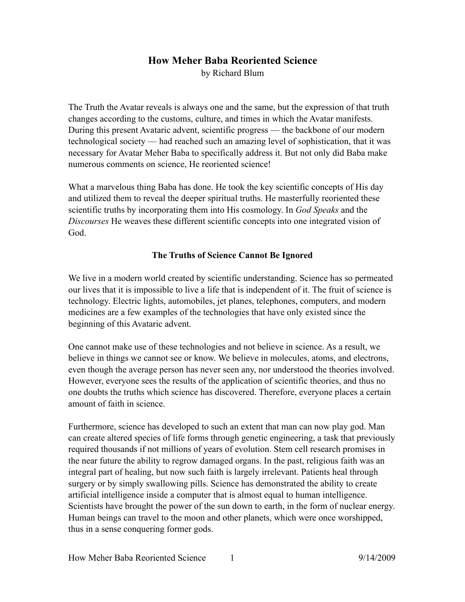# **How Meher Baba Reoriented Science**  by Richard Blum

The Truth the Avatar reveals is always one and the same, but the expression of that truth changes according to the customs, culture, and times in which the Avatar manifests. During this present Avataric advent, scientific progress — the backbone of our modern technological society — had reached such an amazing level of sophistication, that it was necessary for Avatar Meher Baba to specifically address it. But not only did Baba make numerous comments on science, He reoriented science!

What a marvelous thing Baba has done. He took the key scientific concepts of His day and utilized them to reveal the deeper spiritual truths. He masterfully reoriented these scientific truths by incorporating them into His cosmology. In *God Speaks* and the *Discourses* He weaves these different scientific concepts into one integrated vision of God.

## **The Truths of Science Cannot Be Ignored**

We live in a modern world created by scientific understanding. Science has so permeated our lives that it is impossible to live a life that is independent of it. The fruit of science is technology. Electric lights, automobiles, jet planes, telephones, computers, and modern medicines are a few examples of the technologies that have only existed since the beginning of this Avataric advent.

One cannot make use of these technologies and not believe in science. As a result, we believe in things we cannot see or know. We believe in molecules, atoms, and electrons, even though the average person has never seen any, nor understood the theories involved. However, everyone sees the results of the application of scientific theories, and thus no one doubts the truths which science has discovered. Therefore, everyone places a certain amount of faith in science.

Furthermore, science has developed to such an extent that man can now play god. Man can create altered species of life forms through genetic engineering, a task that previously required thousands if not millions of years of evolution. Stem cell research promises in the near future the ability to regrow damaged organs. In the past, religious faith was an integral part of healing, but now such faith is largely irrelevant. Patients heal through surgery or by simply swallowing pills. Science has demonstrated the ability to create artificial intelligence inside a computer that is almost equal to human intelligence. Scientists have brought the power of the sun down to earth, in the form of nuclear energy. Human beings can travel to the moon and other planets, which were once worshipped, thus in a sense conquering former gods.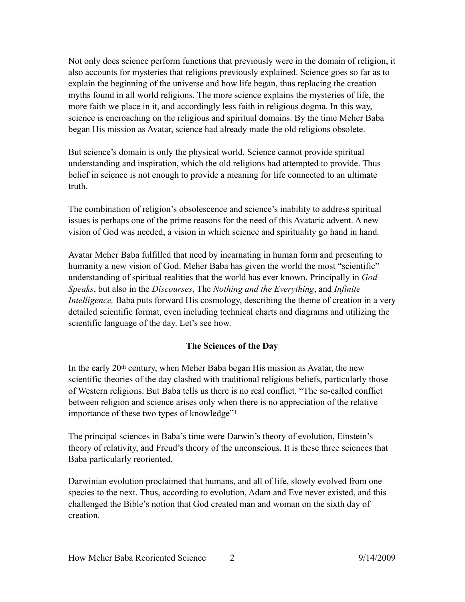Not only does science perform functions that previously were in the domain of religion, it also accounts for mysteries that religions previously explained. Science goes so far as to explain the beginning of the universe and how life began, thus replacing the creation myths found in all world religions. The more science explains the mysteries of life, the more faith we place in it, and accordingly less faith in religious dogma. In this way, science is encroaching on the religious and spiritual domains. By the time Meher Baba began His mission as Avatar, science had already made the old religions obsolete.

But science's domain is only the physical world. Science cannot provide spiritual understanding and inspiration, which the old religions had attempted to provide. Thus belief in science is not enough to provide a meaning for life connected to an ultimate truth.

The combination of religion's obsolescence and science's inability to address spiritual issues is perhaps one of the prime reasons for the need of this Avataric advent. A new vision of God was needed, a vision in which science and spirituality go hand in hand.

Avatar Meher Baba fulfilled that need by incarnating in human form and presenting to humanity a new vision of God. Meher Baba has given the world the most "scientific" understanding of spiritual realities that the world has ever known. Principally in *God Speaks*, but also in the *Discourses*, The *Nothing and the Everything*, and *Infinite Intelligence,* Baba puts forward His cosmology, describing the theme of creation in a very detailed scientific format, even including technical charts and diagrams and utilizing the scientific language of the day. Let's see how.

## <span id="page-1-0"></span>**The Sciences of the Day**

In the early 20<sup>th</sup> century, when Meher Baba began His mission as Avatar, the new scientific theories of the day clashed with traditional religious beliefs, particularly those of Western religions. But Baba tells us there is no real conflict. "The so-called conflict between religion and science arises only when there is no appreciation of the relative importance of these two types of knowledge"<sup>1</sup>

The principal sciences in Baba's time were Darwin's theory of evolution, Einstein's theory of relativity, and Freud's theory of the unconscious. It is these three sciences that Baba particularly reoriented.

Darwinian evolution proclaimed that humans, and all of life, slowly evolved from one species to the next. Thus, according to evolution, Adam and Eve never existed, and this challenged the Bible's notion that God created man and woman on the sixth day of creation.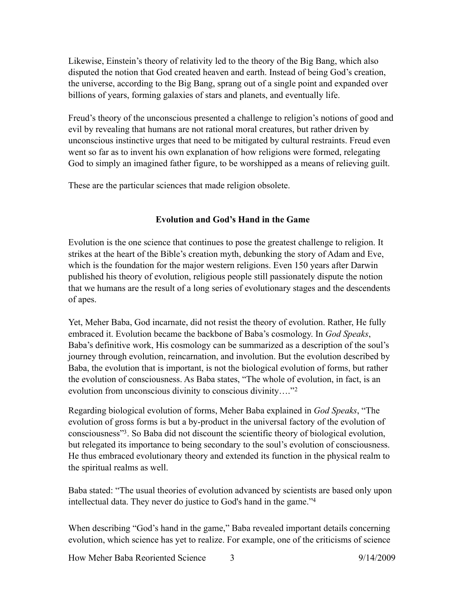Likewise, Einstein's theory of relativity led to the theory of the Big Bang, which also disputed the notion that God created heaven and earth. Instead of being God's creation, the universe, according to the Big Bang, sprang out of a single point and expanded over billions of years, forming galaxies of stars and planets, and eventually life.

Freud's theory of the unconscious presented a challenge to religion's notions of good and evil by revealing that humans are not rational moral creatures, but rather driven by unconscious instinctive urges that need to be mitigated by cultural restraints. Freud even went so far as to invent his own explanation of how religions were formed, relegating God to simply an imagined father figure, to be worshipped as a means of relieving guilt.

These are the particular sciences that made religion obsolete.

## <span id="page-2-0"></span>**Evolution and God's Hand in the Game**

Evolution is the one science that continues to pose the greatest challenge to religion. It strikes at the heart of the Bible's creation myth, debunking the story of Adam and Eve, which is the foundation for the major western religions. Even 150 years after Darwin published his theory of evolution, religious people still passionately dispute the notion that we humans are the result of a long series of evolutionary stages and the descendents of apes.

Yet, Meher Baba, God incarnate, did not resist the theory of evolution. Rather, He fully embraced it. Evolution became the backbone of Baba's cosmology. In *God Speaks*, Baba's definitive work, His cosmology can be summarized as a description of the soul's journey through evolution, reincarnation, and involution. But the evolution described by Baba, the evolution that is important, is not the biological evolution of forms, but rather the evolution of consciousness. As Baba states, "The whole of evolution, in fact, is an evolution from unconscious divinity to conscious divinity…."[2](#page-12-1)

<span id="page-2-1"></span>Regarding biological evolution of forms, Meher Baba explained in *God Speaks*, "The evolution of gross forms is but a by-product in the universal factory of the evolution of consciousness"<sup>[3](#page-12-2)</sup>. So Baba did not discount the scientific theory of biological evolution, but relegated its importance to being secondary to the soul's evolution of consciousness. He thus embraced evolutionary theory and extended its function in the physical realm to the spiritual realms as well.

<span id="page-2-2"></span>Baba stated: "The usual theories of evolution advanced by scientists are based only upon intellectual data. They never do justice to God's hand in the game.["4](#page-12-3)

When describing "God's hand in the game," Baba revealed important details concerning evolution, which science has yet to realize. For example, one of the criticisms of science

How Meher Baba Reoriented Science 3 9/14/2009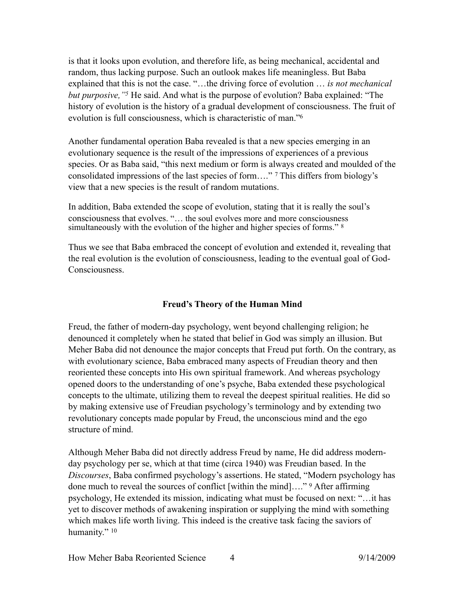<span id="page-3-0"></span>is that it looks upon evolution, and therefore life, as being mechanical, accidental and random, thus lacking purpose. Such an outlook makes life meaningless. But Baba explained that this is not the case. "…the driving force of evolution … *is not mechanical but purposive, "*<sup>[5](#page-13-0)</sup> He said. And what is the purpose of evolution? Baba explained: "The history of evolution is the history of a gradual development of consciousness. The fruit of evolution is full consciousness, which is characteristic of man.["6](#page-13-1)

Another fundamental operation Baba revealed is that a new species emerging in an evolutionary sequence is the result of the impressions of experiences of a previous species. Or as Baba said, "this next medium or form is always created and moulded of the consolidated impressions of the last species of form...." <sup>[7](#page-13-2)</sup> This differs from biology's view that a new species is the result of random mutations.

In addition, Baba extended the scope of evolution, stating that it is really the soul's consciousness that evolves. "… the soul evolves more and more consciousness simultaneously with the evolution of the higher and higher species of forms." [8](#page-13-3)

Thus we see that Baba embraced the concept of evolution and extended it, revealing that the real evolution is the evolution of consciousness, leading to the eventual goal of God-Consciousness.

# <span id="page-3-4"></span><span id="page-3-3"></span><span id="page-3-2"></span><span id="page-3-1"></span>**Freud's Theory of the Human Mind**

Freud, the father of modern-day psychology, went beyond challenging religion; he denounced it completely when he stated that belief in God was simply an illusion. But Meher Baba did not denounce the major concepts that Freud put forth. On the contrary, as with evolutionary science, Baba embraced many aspects of Freudian theory and then reoriented these concepts into His own spiritual framework. And whereas psychology opened doors to the understanding of one's psyche, Baba extended these psychological concepts to the ultimate, utilizing them to reveal the deepest spiritual realities. He did so by making extensive use of Freudian psychology's terminology and by extending two revolutionary concepts made popular by Freud, the unconscious mind and the ego structure of mind.

<span id="page-3-5"></span>Although Meher Baba did not directly address Freud by name, He did address modernday psychology per se, which at that time (circa 1940) was Freudian based. In the *Discourses*, Baba confirmed psychology's assertions. He stated, "Modern psychology has donemuch to reveal the sources of conflict [within the mind]…."  $9$  After affirming psychology, He extended its mission, indicating what must be focused on next: "…it has yet to discover methods of awakening inspiration or supplying the mind with something which makes life worth living. This indeed is the creative task facing the saviors of humanity." [10](#page-13-5)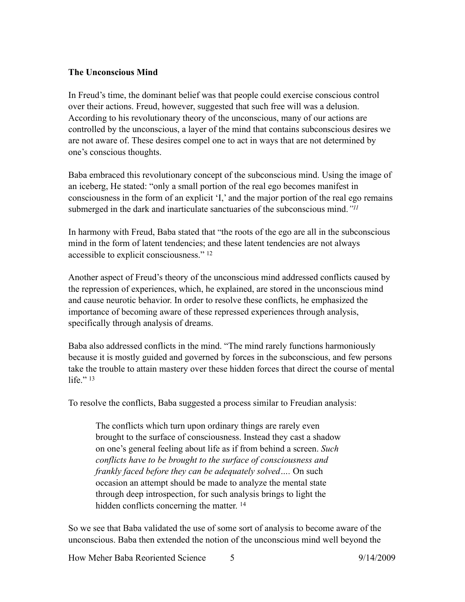### **The Unconscious Mind**

In Freud's time, the dominant belief was that people could exercise conscious control over their actions. Freud, however, suggested that such free will was a delusion. According to his revolutionary theory of the unconscious, many of our actions are controlled by the unconscious, a layer of the mind that contains subconscious desires we are not aware of. These desires compel one to act in ways that are not determined by one's conscious thoughts.

Baba embraced this revolutionary concept of the subconscious mind. Using the image of an iceberg, He stated: "only a small portion of the real ego becomes manifest in consciousness in the form of an explicit 'I,' and the major portion of the real ego remains submerged in the dark and inarticulate sanctuaries of the subconscious mind.*["11](#page-13-6)*

<span id="page-4-1"></span><span id="page-4-0"></span>In harmony with Freud, Baba stated that "the roots of the ego are all in the subconscious mind in the form of latent tendencies; and these latent tendencies are not always accessible to explicit consciousness." [12](#page-13-7)

Another aspect of Freud's theory of the unconscious mind addressed conflicts caused by the repression of experiences, which, he explained, are stored in the unconscious mind and cause neurotic behavior. In order to resolve these conflicts, he emphasized the importance of becoming aware of these repressed experiences through analysis, specifically through analysis of dreams.

Baba also addressed conflicts in the mind. "The mind rarely functions harmoniously because it is mostly guided and governed by forces in the subconscious, and few persons take the trouble to attain mastery over these hidden forces that direct the course of mental life." $13$ 

<span id="page-4-2"></span>To resolve the conflicts, Baba suggested a process similar to Freudian analysis:

<span id="page-4-3"></span>The conflicts which turn upon ordinary things are rarely even brought to the surface of consciousness. Instead they cast a shadow on one's general feeling about life as if from behind a screen. *Such conflicts have to be brought to the surface of consciousness and frankly faced before they can be adequately solved….* On such occasion an attempt should be made to analyze the mental state through deep introspection, for such analysis brings to light the hidden conflicts concerning the matter.<sup>[14](#page-13-9)</sup>

So we see that Baba validated the use of some sort of analysis to become aware of the unconscious. Baba then extended the notion of the unconscious mind well beyond the

How Meher Baba Reoriented Science 5 9/14/2009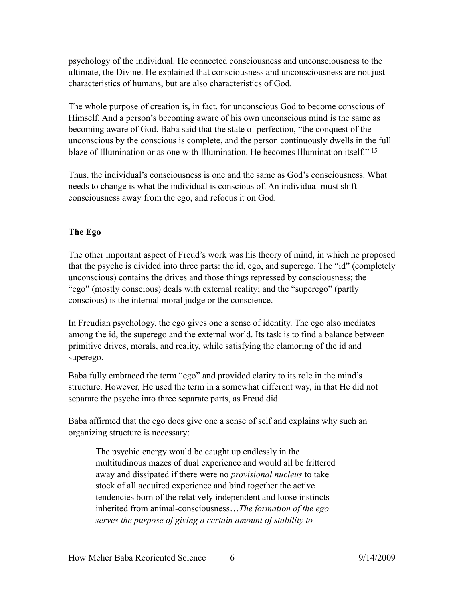psychology of the individual. He connected consciousness and unconsciousness to the ultimate, the Divine. He explained that consciousness and unconsciousness are not just characteristics of humans, but are also characteristics of God.

The whole purpose of creation is, in fact, for unconscious God to become conscious of Himself. And a person's becoming aware of his own unconscious mind is the same as becoming aware of God. Baba said that the state of perfection, "the conquest of the unconscious by the conscious is complete, and the person continuously dwells in the full blaze of Illumination or as one with Illumination. He becomes Illumination itself." [15](#page-13-10)

<span id="page-5-0"></span>Thus, the individual's consciousness is one and the same as God's consciousness. What needs to change is what the individual is conscious of. An individual must shift consciousness away from the ego, and refocus it on God.

# **The Ego**

The other important aspect of Freud's work was his theory of mind, in which he proposed that the psyche is divided into three parts: the id, ego, and superego. The "id" (completely unconscious) contains the drives and those things repressed by consciousness; the "ego" (mostly conscious) deals with external reality; and the "superego" (partly conscious) is the internal moral judge or the conscience.

In Freudian psychology, the ego gives one a sense of identity. The ego also mediates among the id, the superego and the external world. Its task is to find a balance between primitive drives, morals, and reality, while satisfying the clamoring of the id and superego.

Baba fully embraced the term "ego" and provided clarity to its role in the mind's structure. However, He used the term in a somewhat different way, in that He did not separate the psyche into three separate parts, as Freud did.

Baba affirmed that the ego does give one a sense of self and explains why such an organizing structure is necessary:

The psychic energy would be caught up endlessly in the multitudinous mazes of dual experience and would all be frittered away and dissipated if there were no *provisional nucleus* to take stock of all acquired experience and bind together the active tendencies born of the relatively independent and loose instincts inherited from animal-consciousness…*The formation of the ego serves the purpose of giving a certain amount of stability to*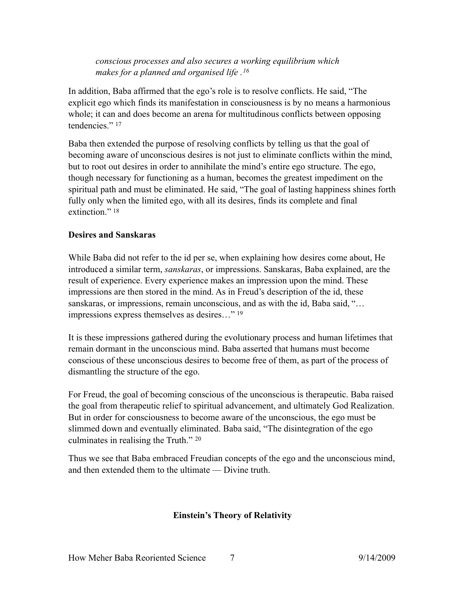<span id="page-6-0"></span>*conscious processes and also secures a working equilibrium which makes for a planned and organised life .[16](#page-13-11)*

In addition, Baba affirmed that the ego's role is to resolve conflicts. He said, "The explicit ego which finds its manifestation in consciousness is by no means a harmonious whole; it can and does become an arena for multitudinous conflicts between opposing tendencies." [17](#page-13-12)

<span id="page-6-1"></span>Baba then extended the purpose of resolving conflicts by telling us that the goal of becoming aware of unconscious desires is not just to eliminate conflicts within the mind, but to root out desires in order to annihilate the mind's entire ego structure. The ego, though necessary for functioning as a human, becomes the greatest impediment on the spiritual path and must be eliminated. He said, "The goal of lasting happiness shines forth fully only when the limited ego, with all its desires, finds its complete and final extinction."<sup>18</sup>

## <span id="page-6-2"></span>**Desires and Sanskaras**

While Baba did not refer to the id per se, when explaining how desires come about, He introduced a similar term, *sanskaras*, or impressions. Sanskaras, Baba explained, are the result of experience. Every experience makes an impression upon the mind. These impressions are then stored in the mind. As in Freud's description of the id, these sanskaras, or impressions, remain unconscious, and as with the id, Baba said, "... impressions express themselves as desires…" [19](#page-13-14)

<span id="page-6-3"></span>It is these impressions gathered during the evolutionary process and human lifetimes that remain dormant in the unconscious mind. Baba asserted that humans must become conscious of these unconscious desires to become free of them, as part of the process of dismantling the structure of the ego.

For Freud, the goal of becoming conscious of the unconscious is therapeutic. Baba raised the goal from therapeutic relief to spiritual advancement, and ultimately God Realization. But in order for consciousness to become aware of the unconscious, the ego must be slimmed down and eventually eliminated. Baba said, "The disintegration of the ego culminates in realising the Truth." [20](#page-13-15)

Thus we see that Baba embraced Freudian concepts of the ego and the unconscious mind, and then extended them to the ultimate — Divine truth.

#### <span id="page-6-4"></span>**Einstein's Theory of Relativity**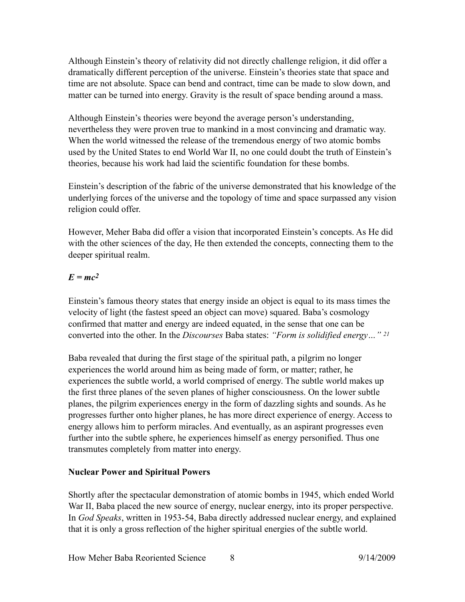Although Einstein's theory of relativity did not directly challenge religion, it did offer a dramatically different perception of the universe. Einstein's theories state that space and time are not absolute. Space can bend and contract, time can be made to slow down, and matter can be turned into energy. Gravity is the result of space bending around a mass.

Although Einstein's theories were beyond the average person's understanding, nevertheless they were proven true to mankind in a most convincing and dramatic way. When the world witnessed the release of the tremendous energy of two atomic bombs used by the United States to end World War II, no one could doubt the truth of Einstein's theories, because his work had laid the scientific foundation for these bombs.

Einstein's description of the fabric of the universe demonstrated that his knowledge of the underlying forces of the universe and the topology of time and space surpassed any vision religion could offer.

However, Meher Baba did offer a vision that incorporated Einstein's concepts. As He did with the other sciences of the day, He then extended the concepts, connecting them to the deeper spiritual realm.

# $E = mc^2$

Einstein's famous theory states that energy inside an object is equal to its mass times the velocity of light (the fastest speed an object can move) squared. Baba's cosmology confirmed that matter and energy are indeed equated, in the sense that one can be converted into the other. In the *Discourses* Baba states: *"Form is solidified energy…" [21](#page-13-16)*

<span id="page-7-0"></span>Baba revealed that during the first stage of the spiritual path, a pilgrim no longer experiences the world around him as being made of form, or matter; rather, he experiences the subtle world, a world comprised of energy. The subtle world makes up the first three planes of the seven planes of higher consciousness. On the lower subtle planes, the pilgrim experiences energy in the form of dazzling sights and sounds. As he progresses further onto higher planes, he has more direct experience of energy. Access to energy allows him to perform miracles. And eventually, as an aspirant progresses even further into the subtle sphere, he experiences himself as energy personified. Thus one transmutes completely from matter into energy.

# **Nuclear Power and Spiritual Powers**

Shortly after the spectacular demonstration of atomic bombs in 1945, which ended World War II, Baba placed the new source of energy, nuclear energy, into its proper perspective. In *God Speaks*, written in 1953-54, Baba directly addressed nuclear energy, and explained that it is only a gross reflection of the higher spiritual energies of the subtle world.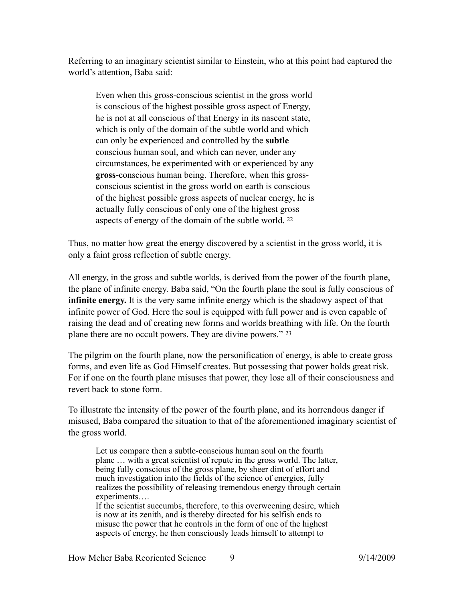Referring to an imaginary scientist similar to Einstein, who at this point had captured the world's attention, Baba said:

Even when this gross-conscious scientist in the gross world is conscious of the highest possible gross aspect of Energy, he is not at all conscious of that Energy in its nascent state, which is only of the domain of the subtle world and which can only be experienced and controlled by the **subtle**  conscious human soul, and which can never, under any circumstances, be experimented with or experienced by any **gross-**conscious human being. Therefore, when this grossconscious scientist in the gross world on earth is conscious of the highest possible gross aspects of nuclear energy, he is actually fully conscious of only one of the highest gross aspects of energy of the domain of the subtle world. [22](#page-13-17)

<span id="page-8-0"></span>Thus, no matter how great the energy discovered by a scientist in the gross world, it is only a faint gross reflection of subtle energy.

All energy, in the gross and subtle worlds, is derived from the power of the fourth plane, the plane of infinite energy. Baba said, "On the fourth plane the soul is fully conscious of **infinite energy.** It is the very same infinite energy which is the shadowy aspect of that infinite power of God. Here the soul is equipped with full power and is even capable of raising the dead and of creating new forms and worlds breathing with life. On the fourth plane there are no occult powers. They are divine powers." [23](#page-13-18)

<span id="page-8-1"></span>The pilgrim on the fourth plane, now the personification of energy, is able to create gross forms, and even life as God Himself creates. But possessing that power holds great risk. For if one on the fourth plane misuses that power, they lose all of their consciousness and revert back to stone form.

To illustrate the intensity of the power of the fourth plane, and its horrendous danger if misused, Baba compared the situation to that of the aforementioned imaginary scientist of the gross world.

Let us compare then a subtle-conscious human soul on the fourth plane … with a great scientist of repute in the gross world. The latter, being fully conscious of the gross plane, by sheer dint of effort and much investigation into the fields of the science of energies, fully realizes the possibility of releasing tremendous energy through certain experiments….

If the scientist succumbs, therefore, to this overweening desire, which is now at its zenith, and is thereby directed for his selfish ends to misuse the power that he controls in the form of one of the highest aspects of energy, he then consciously leads himself to attempt to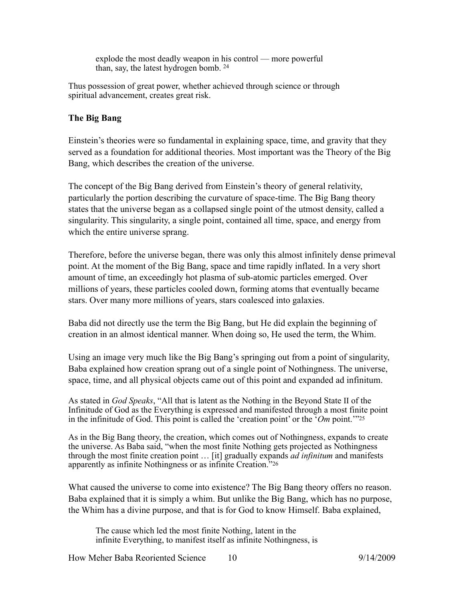<span id="page-9-0"></span>explode the most deadly weapon in his control — more powerful than, say, the latest hydrogen bomb. [24](#page-13-19)

Thus possession of great power, whether achieved through science or through spiritual advancement, creates great risk.

### **The Big Bang**

Einstein's theories were so fundamental in explaining space, time, and gravity that they served as a foundation for additional theories. Most important was the Theory of the Big Bang, which describes the creation of the universe.

The concept of the Big Bang derived from Einstein's theory of general relativity, particularly the portion describing the curvature of space-time. The Big Bang theory states that the universe began as a collapsed single point of the utmost density, called a singularity. This singularity, a single point, contained all time, space, and energy from which the entire universe sprang.

Therefore, before the universe began, there was only this almost infinitely dense primeval point. At the moment of the Big Bang, space and time rapidly inflated. In a very short amount of time, an exceedingly hot plasma of sub-atomic particles emerged. Over millions of years, these particles cooled down, forming atoms that eventually became stars. Over many more millions of years, stars coalesced into galaxies.

Baba did not directly use the term the Big Bang, but He did explain the beginning of creation in an almost identical manner. When doing so, He used the term, the Whim.

Using an image very much like the Big Bang's springing out from a point of singularity, Baba explained how creation sprang out of a single point of Nothingness. The universe, space, time, and all physical objects came out of this point and expanded ad infinitum.

As stated in *God Speaks*, "All that is latent as the Nothing in the Beyond State II of the Infinitude of God as the Everything is expressed and manifested through a most finite point in the infinitude of God. This point is called the 'creation point' or the '*Om* point.'["25](#page-13-20)

As in the Big Bang theory, the creation, which comes out of Nothingness, expands to create the universe. As Baba said, "when the most finite Nothing gets projected as Nothingness through the most finite creation point … [it] gradually expands *ad infinitum* and manifests apparently as infinite Nothingness or as infinite Creation."[26](#page-13-21)

What caused the universe to come into existence? The Big Bang theory offers no reason. Baba explained that it is simply a whim. But unlike the Big Bang, which has no purpose, the Whim has a divine purpose, and that is for God to know Himself. Baba explained,

<span id="page-9-2"></span><span id="page-9-1"></span>The cause which led the most finite Nothing, latent in the infinite Everything, to manifest itself as infinite Nothingness, is

How Meher Baba Reoriented Science 10 9/14/2009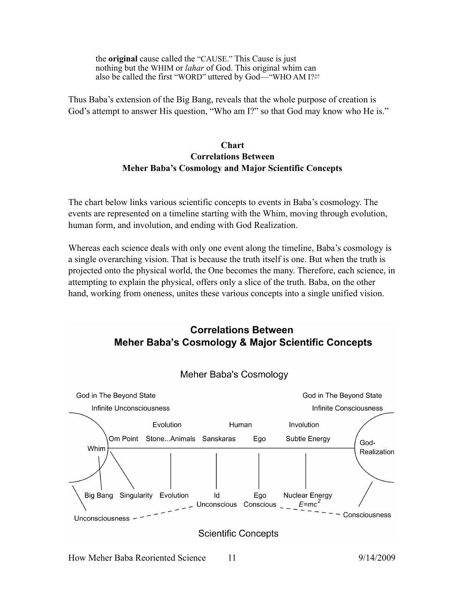the **original** cause called the "CAUSE." This Cause is just nothing but the WHIM or *lahar* of God. This original whim can also be called the first "WORD" uttered by God—"WHO AM I?[27](#page-13-22)

Thus Baba's extension of the Big Bang, reveals that the whole purpose of creation is God's attempt to answer His question, "Who am I?" so that God may know who He is."

## <span id="page-10-0"></span>**Chart Correlations Between Meher Baba's Cosmology and Major Scientific Concepts**

The chart below links various scientific concepts to events in Baba's cosmology. The events are represented on a timeline starting with the Whim, moving through evolution, human form, and involution, and ending with God Realization.

Whereas each science deals with only one event along the timeline, Baba's cosmology is a single overarching vision. That is because the truth itself is one. But when the truth is projected onto the physical world, the One becomes the many. Therefore, each science, in attempting to explain the physical, offers only a slice of the truth. Baba, on the other hand, working from oneness, unites these various concepts into a single unified vision.

# **Correlations Between Meher Baba's Cosmology & Major Scientific Concepts**



Meher Baba's Cosmology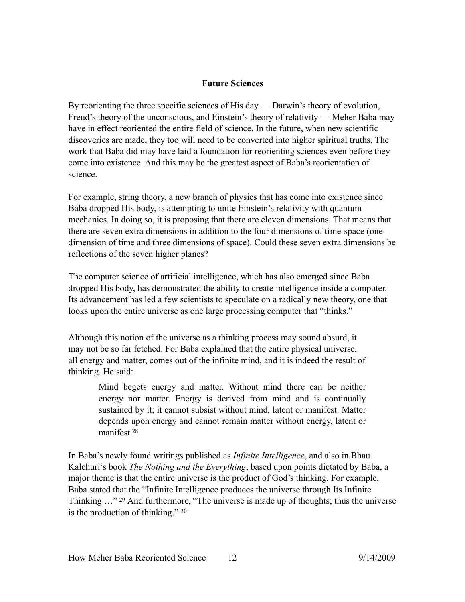### **Future Sciences**

By reorienting the three specific sciences of His day — Darwin's theory of evolution, Freud's theory of the unconscious, and Einstein's theory of relativity — Meher Baba may have in effect reoriented the entire field of science. In the future, when new scientific discoveries are made, they too will need to be converted into higher spiritual truths. The work that Baba did may have laid a foundation for reorienting sciences even before they come into existence. And this may be the greatest aspect of Baba's reorientation of science.

For example, string theory, a new branch of physics that has come into existence since Baba dropped His body, is attempting to unite Einstein's relativity with quantum mechanics. In doing so, it is proposing that there are eleven dimensions. That means that there are seven extra dimensions in addition to the four dimensions of time-space (one dimension of time and three dimensions of space). Could these seven extra dimensions be reflections of the seven higher planes?

The computer science of artificial intelligence, which has also emerged since Baba dropped His body, has demonstrated the ability to create intelligence inside a computer. Its advancement has led a few scientists to speculate on a radically new theory, one that looks upon the entire universe as one large processing computer that "thinks."

Although this notion of the universe as a thinking process may sound absurd, it may not be so far fetched. For Baba explained that the entire physical universe, all energy and matter, comes out of the infinite mind, and it is indeed the result of thinking. He said:

> <span id="page-11-0"></span>Mind begets energy and matter. Without mind there can be neither energy nor matter. Energy is derived from mind and is continually sustained by it; it cannot subsist without mind, latent or manifest. Matter depends upon energy and cannot remain matter without energy, latent or manifest<sup>28</sup>

<span id="page-11-2"></span><span id="page-11-1"></span>In Baba's newly found writings published as *Infinite Intelligence*, and also in Bhau Kalchuri's book *The Nothing and the Everything*, based upon points dictated by Baba, a major theme is that the entire universe is the product of God's thinking. For example, Baba stated that the "Infinite Intelligence produces the universe through Its Infinite Thinking $\cdots$  <sup>29</sup> And furthermore, "The universe is made up of thoughts; thus the universe is the production of thinking." [30](#page-13-25)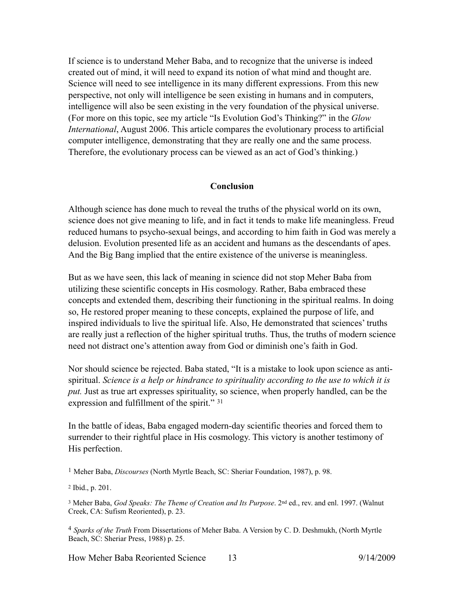If science is to understand Meher Baba, and to recognize that the universe is indeed created out of mind, it will need to expand its notion of what mind and thought are. Science will need to see intelligence in its many different expressions. From this new perspective, not only will intelligence be seen existing in humans and in computers, intelligence will also be seen existing in the very foundation of the physical universe. (For more on this topic, see my article "Is Evolution God's Thinking?" in the *Glow International*, August 2006. This article compares the evolutionary process to artificial computer intelligence, demonstrating that they are really one and the same process. Therefore, the evolutionary process can be viewed as an act of God's thinking.)

#### **Conclusion**

Although science has done much to reveal the truths of the physical world on its own, science does not give meaning to life, and in fact it tends to make life meaningless. Freud reduced humans to psycho-sexual beings, and according to him faith in God was merely a delusion. Evolution presented life as an accident and humans as the descendants of apes. And the Big Bang implied that the entire existence of the universe is meaningless.

But as we have seen, this lack of meaning in science did not stop Meher Baba from utilizing these scientific concepts in His cosmology. Rather, Baba embraced these concepts and extended them, describing their functioning in the spiritual realms. In doing so, He restored proper meaning to these concepts, explained the purpose of life, and inspired individuals to live the spiritual life. Also, He demonstrated that sciences' truths are really just a reflection of the higher spiritual truths. Thus, the truths of modern science need not distract one's attention away from God or diminish one's faith in God.

Nor should science be rejected. Baba stated, "It is a mistake to look upon science as antispiritual. *Science is a help or hindrance to spirituality according to the use to which it is put.* Just as true art expresses spirituality, so science, when properly handled, can be the expression and fulfillment of the spirit." [31](#page-13-26)

<span id="page-12-4"></span>In the battle of ideas, Baba engaged modern-day scientific theories and forced them to surrender to their rightful place in His cosmology. This victory is another testimony of His perfection.

<span id="page-12-3"></span>*Sparks of the Truth* From Dissertations of Meher Baba. A Version by C. D. Deshmukh, (North Myrtle [4](#page-2-2) Beach, SC: Sheriar Press, 1988) p. 25.

How Meher Baba Reoriented Science 13 9/14/2009

<span id="page-12-0"></span><sup>&</sup>lt;sup>[1](#page-1-0)</sup> Meher Baba, *Discourses* (North Myrtle Beach, SC: Sheriar Foundation, 1987), p. 98.

<span id="page-12-1"></span><sup>&</sup>lt;sup>[2](#page-2-0)</sup> Ibid., p. 201.

<span id="page-12-2"></span><sup>&</sup>lt;sup>[3](#page-2-1)</sup> Meher Baba, *God Speaks: The Theme of Creation and Its Purpose*. 2<sup>nd</sup> ed., rev. and enl. 1997. (Walnut Creek, CA: Sufism Reoriented), p. 23.